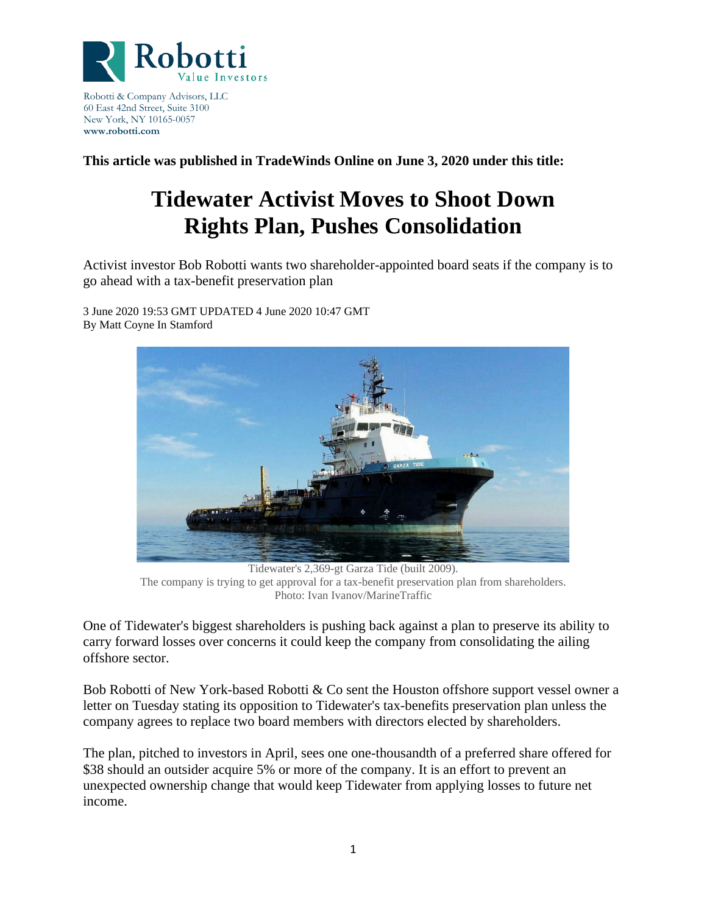

Robotti & Company Advisors, LLC 60 East 42nd Street, Suite 3100 New York, NY 10165-0057 **www.robotti.com**

**This article was published in TradeWinds Online on June 3, 2020 under this title:**

## **Tidewater Activist Moves to Shoot Down Rights Plan, Pushes Consolidation**

Activist investor Bob Robotti wants two shareholder-appointed board seats if the company is to go ahead with a tax-benefit preservation plan

3 June 2020 19:53 GMT UPDATED 4 June 2020 10:47 GMT By Matt Coyne In Stamford



Tidewater's 2,369-gt Garza Tide (built 2009). The company is trying to get approval for a tax-benefit preservation plan from shareholders. Photo: Ivan Ivanov/MarineTraffic

One of Tidewater's biggest shareholders is pushing back against a plan to preserve its ability to carry forward losses over concerns it could keep the company from consolidating the ailing offshore sector.

Bob Robotti of New York-based Robotti & Co sent the Houston offshore support vessel owner a letter on Tuesday stating its opposition to Tidewater's tax-benefits preservation plan unless the company agrees to replace two board members with directors elected by shareholders.

The plan, pitched to investors in April, sees one one-thousandth of a preferred share offered for \$38 should an outsider acquire 5% or more of the company. It is an effort to prevent an unexpected ownership change that would keep Tidewater from applying losses to future net income.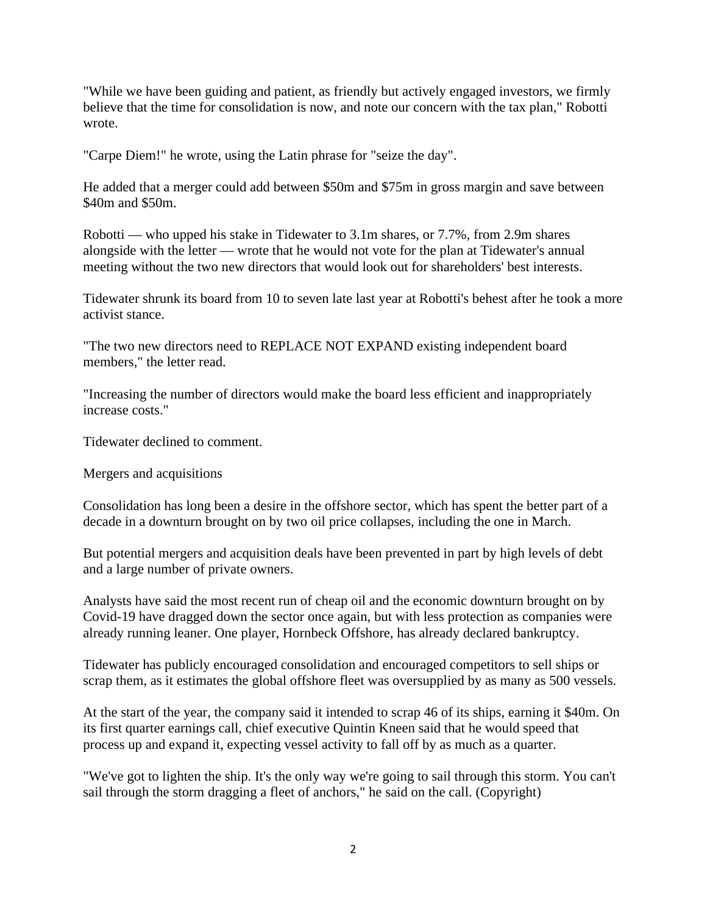"While we have been guiding and patient, as friendly but actively engaged investors, we firmly believe that the time for consolidation is now, and note our concern with the tax plan," Robotti wrote.

"Carpe Diem!" he wrote, using the Latin phrase for "seize the day".

He added that a merger could add between \$50m and \$75m in gross margin and save between \$40m and \$50m.

Robotti — who upped his stake in Tidewater to 3.1m shares, or 7.7%, from 2.9m shares alongside with the letter — wrote that he would not vote for the plan at Tidewater's annual meeting without the two new directors that would look out for shareholders' best interests.

Tidewater shrunk its board from 10 to seven late last year at Robotti's behest after he took a more activist stance.

"The two new directors need to REPLACE NOT EXPAND existing independent board members," the letter read.

"Increasing the number of directors would make the board less efficient and inappropriately increase costs."

Tidewater declined to comment.

Mergers and acquisitions

Consolidation has long been a desire in the offshore sector, which has spent the better part of a decade in a downturn brought on by two oil price collapses, including the one in March.

But potential mergers and acquisition deals have been prevented in part by high levels of debt and a large number of private owners.

Analysts have said the most recent run of cheap oil and the economic downturn brought on by Covid-19 have dragged down the sector once again, but with less protection as companies were already running leaner. One player, Hornbeck Offshore, has already declared bankruptcy.

Tidewater has publicly encouraged consolidation and encouraged competitors to sell ships or scrap them, as it estimates the global offshore fleet was oversupplied by as many as 500 vessels.

At the start of the year, the company said it intended to scrap 46 of its ships, earning it \$40m. On its first quarter earnings call, chief executive Quintin Kneen said that he would speed that process up and expand it, expecting vessel activity to fall off by as much as a quarter.

"We've got to lighten the ship. It's the only way we're going to sail through this storm. You can't sail through the storm dragging a fleet of anchors," he said on the call. (Copyright)